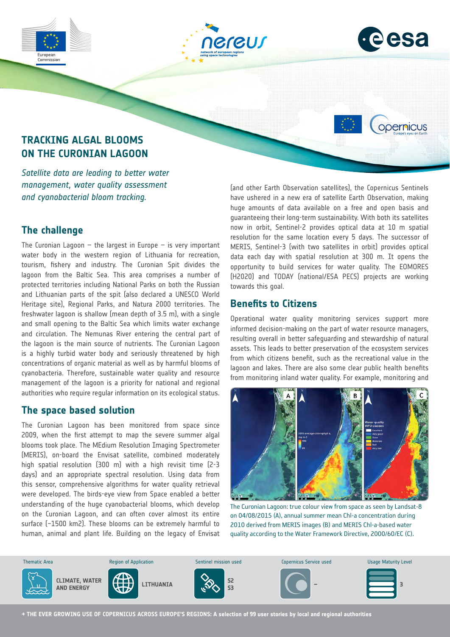





opernicus

# **TRACKING ALGAL BLOOMS ON THE CURONIAN LAGOON**

*Satellite data are leading to better water management, water quality assessment and cyanobacterial bloom tracking.*

## **The challenge**

The Curonian Lagoon  $-$  the largest in Europe  $-$  is very important water body in the western region of Lithuania for recreation, tourism, fishery and industry. The Curonian Spit divides the lagoon from the Baltic Sea. This area comprises a number of protected territories including National Parks on both the Russian and Lithuanian parts of the spit (also declared a UNESCO World Heritage site), Regional Parks, and Natura 2000 territories. The freshwater lagoon is shallow (mean depth of 3.5 m), with a single and small opening to the Baltic Sea which limits water exchange and circulation. The Nemunas River entering the central part of the lagoon is the main source of nutrients. The Curonian Lagoon is a highly turbid water body and seriously threatened by high concentrations of organic material as well as by harmful blooms of cyanobacteria. Therefore, sustainable water quality and resource management of the lagoon is a priority for national and regional authorities who require regular information on its ecological status.

## **The space based solution**

The Curonian Lagoon has been monitored from space since 2009, when the first attempt to map the severe summer algal blooms took place. The MEdium Resolution Imaging Spectrometer (MERIS), on-board the Envisat satellite, combined moderately high spatial resolution (300 m) with a high revisit time (2-3 days) and an appropriate spectral resolution. Using data from this sensor, comprehensive algorithms for water quality retrieval were developed. The birds-eye view from Space enabled a better understanding of the huge cyanobacterial blooms, which develop on the Curonian Lagoon, and can often cover almost its entire surface (~1500 km2). These blooms can be extremely harmful to human, animal and plant life. Building on the legacy of Envisat (and other Earth Observation satellites), the Copernicus Sentinels have ushered in a new era of satellite Earth Observation, making huge amounts of data available on a free and open basis and guaranteeing their long-term sustainability. With both its satellites now in orbit, Sentinel-2 provides optical data at 10 m spatial resolution for the same location every 5 days. The successor of MERIS, Sentinel-3 (with two satellites in orbit) provides optical data each day with spatial resolution at 300 m. It opens the opportunity to build services for water quality. The EOMORES (H2020) and TODAY (national/ESA PECS) projects are working towards this goal.

## **Benefits to Citizens**

Operational water quality monitoring services support more informed decision-making on the part of water resource managers, resulting overall in better safeguarding and stewardship of natural assets. This leads to better preservation of the ecosystem services from which citizens benefit, such as the recreational value in the lagoon and lakes. There are also some clear public health benefits from monitoring inland water quality. For example, monitoring and



The Curonian Lagoon: true colour view from space as seen by Landsat-8 on 04/08/2015 (A), annual summer mean Chl-a concentration during 2010 derived from MERIS images (B) and MERIS Chl-a-based water quality according to the Water Framework Directive, 2000/60/EC (C).



**→ THE EVER GROWING USE OF COPERNICUS ACROSS EUROPE'S REGIONS: A selection of 99 user stories by local and regional authorities**